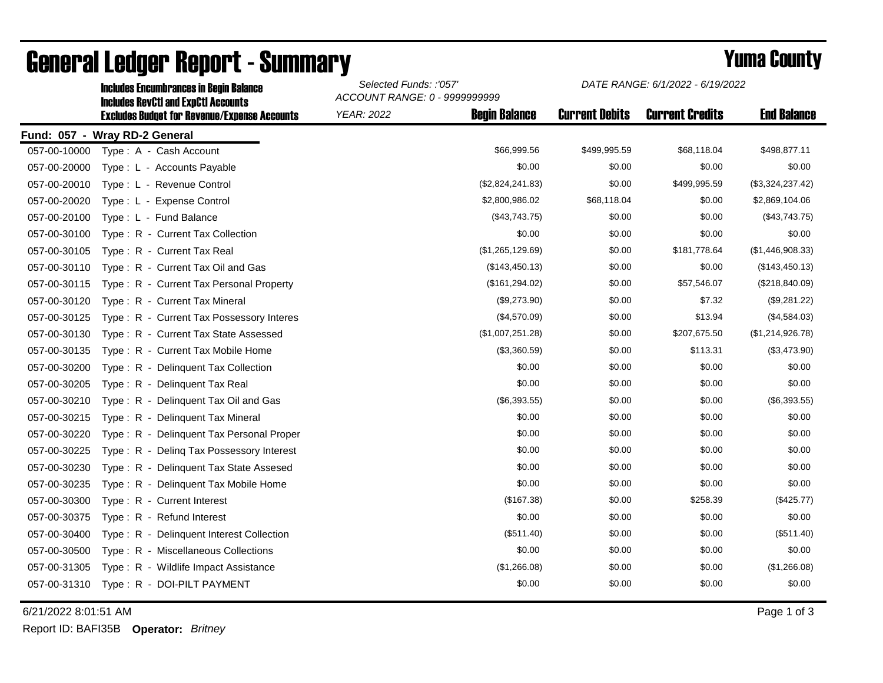|                               | <b>Includes RevCtI and ExpCtI Accounts</b><br><b>Excludes Budget for Revenue/Expense Accounts</b> | ACCOUNT RANGE: 0 - 9999999999 |                      |                       |                        |                    |  |
|-------------------------------|---------------------------------------------------------------------------------------------------|-------------------------------|----------------------|-----------------------|------------------------|--------------------|--|
|                               |                                                                                                   | <b>YEAR: 2022</b>             | <b>Begin Balance</b> | <b>Current Debits</b> | <b>Current Credits</b> | <b>End Balance</b> |  |
| Fund: 057 - Wray RD-2 General |                                                                                                   |                               |                      |                       |                        |                    |  |
| 057-00-10000                  | Type: A - Cash Account                                                                            |                               | \$66,999.56          | \$499,995.59          | \$68,118.04            | \$498,877.11       |  |
| 057-00-20000                  | Type: L - Accounts Payable                                                                        |                               | \$0.00               | \$0.00                | \$0.00                 | \$0.00             |  |
| 057-00-20010                  | Type: L - Revenue Control                                                                         |                               | (\$2,824,241.83)     | \$0.00                | \$499,995.59           | (\$3,324,237.42)   |  |
| 057-00-20020                  | Type: L - Expense Control                                                                         |                               | \$2,800,986.02       | \$68,118.04           | \$0.00                 | \$2,869,104.06     |  |
| 057-00-20100                  | Type: L - Fund Balance                                                                            |                               | (\$43,743.75)        | \$0.00                | \$0.00                 | (\$43,743.75)      |  |
| 057-00-30100                  | Type: R - Current Tax Collection                                                                  |                               | \$0.00               | \$0.00                | \$0.00                 | \$0.00             |  |
| 057-00-30105                  | Type: R - Current Tax Real                                                                        |                               | (\$1,265,129.69)     | \$0.00                | \$181,778.64           | (\$1,446,908.33)   |  |
| 057-00-30110                  | Type: R - Current Tax Oil and Gas                                                                 |                               | (\$143,450.13)       | \$0.00                | \$0.00                 | (\$143,450.13)     |  |
| 057-00-30115                  | Type: R - Current Tax Personal Property                                                           |                               | (\$161, 294.02)      | \$0.00                | \$57,546.07            | (\$218,840.09)     |  |
| 057-00-30120                  | Type: R - Current Tax Mineral                                                                     |                               | (\$9,273.90)         | \$0.00                | \$7.32                 | (\$9,281.22)       |  |
| 057-00-30125                  | Type: R - Current Tax Possessory Interes                                                          |                               | (\$4,570.09)         | \$0.00                | \$13.94                | (\$4,584.03)       |  |
| 057-00-30130                  | Type: R - Current Tax State Assessed                                                              |                               | (\$1,007,251.28)     | \$0.00                | \$207,675.50           | (\$1,214,926.78)   |  |
| 057-00-30135                  | Type: R - Current Tax Mobile Home                                                                 |                               | (\$3,360.59)         | \$0.00                | \$113.31               | (\$3,473.90)       |  |
| 057-00-30200                  | Type: R - Delinquent Tax Collection                                                               |                               | \$0.00               | \$0.00                | \$0.00                 | \$0.00             |  |
| 057-00-30205                  | Type: R - Delinquent Tax Real                                                                     |                               | \$0.00               | \$0.00                | \$0.00                 | \$0.00             |  |
| 057-00-30210                  | Type: R - Delinquent Tax Oil and Gas                                                              |                               | (\$6,393.55)         | \$0.00                | \$0.00                 | (\$6,393.55)       |  |
| 057-00-30215                  | $Type: R -$<br>Delinquent Tax Mineral                                                             |                               | \$0.00               | \$0.00                | \$0.00                 | \$0.00             |  |
| 057-00-30220                  | Type: R - Delinquent Tax Personal Proper                                                          |                               | \$0.00               | \$0.00                | \$0.00                 | \$0.00             |  |
| 057-00-30225                  | $T$ vpe : $R -$<br>Deling Tax Possessory Interest                                                 |                               | \$0.00               | \$0.00                | \$0.00                 | \$0.00             |  |
| 057-00-30230                  | Type: R - Delinquent Tax State Assesed                                                            |                               | \$0.00               | \$0.00                | \$0.00                 | \$0.00             |  |
| 057-00-30235                  | Type: R - Delinquent Tax Mobile Home                                                              |                               | \$0.00               | \$0.00                | \$0.00                 | \$0.00             |  |
| 057-00-30300                  | Type: R - Current Interest                                                                        |                               | (\$167.38)           | \$0.00                | \$258.39               | $(\$425.77)$       |  |
| 057-00-30375                  | Type: R - Refund Interest                                                                         |                               | \$0.00               | \$0.00                | \$0.00                 | \$0.00             |  |
| 057-00-30400                  | Type: R - Delinquent Interest Collection                                                          |                               | (\$511.40)           | \$0.00                | \$0.00                 | (\$511.40)         |  |
| 057-00-30500                  | Type: R - Miscellaneous Collections                                                               |                               | \$0.00               | \$0.00                | \$0.00                 | \$0.00             |  |
| 057-00-31305                  | Type: R - Wildlife Impact Assistance                                                              |                               | (\$1,266.08)         | \$0.00                | \$0.00                 | (\$1,266.08)       |  |
| 057-00-31310                  | Type: R - DOI-PILT PAYMENT                                                                        |                               | \$0.00               | \$0.00                | \$0.00                 | \$0.00             |  |
|                               |                                                                                                   |                               |                      |                       |                        |                    |  |

## General Ledger Report - Summary **Example 2018** Yuma County

Includes Encumbrances in Begin Balance *Selected Funds: :'057'*

6/21/2022 8:01:51 AM Page 1 of 3

Report ID: BAFI35B **Operator:** *Britney*

*DATE RANGE: 6/1/2022 - 6/19/2022*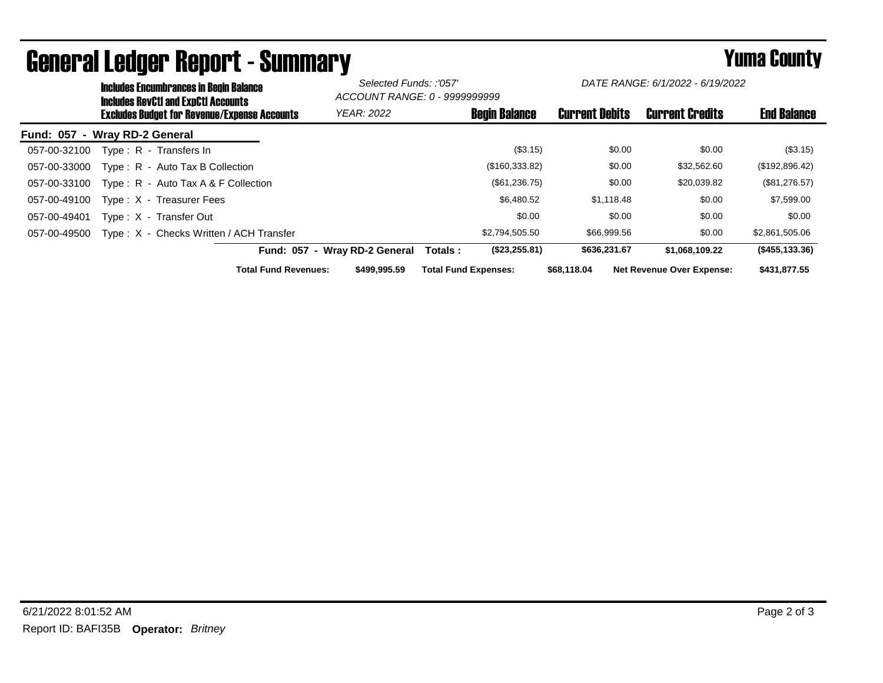|                               | <b>Includes Encumbrances in Begin Balance</b><br><b>Includes RevCtI and ExpCtI Accounts</b> |                                             | Selected Funds: :'057'<br>ACCOUNT RANGE: 0 - 9999999999 |                       | DATE RANGE: 6/1/2022 - 6/19/2022 |                    |
|-------------------------------|---------------------------------------------------------------------------------------------|---------------------------------------------|---------------------------------------------------------|-----------------------|----------------------------------|--------------------|
|                               | <b>Excludes Budget for Revenue/Expense Accounts</b>                                         | <b>YEAR: 2022</b>                           | <b>Begin Balance</b>                                    | <b>Current Debits</b> | <b>Current Credits</b>           | <b>End Balance</b> |
| Fund: 057 - Wray RD-2 General |                                                                                             |                                             |                                                         |                       |                                  |                    |
| 057-00-32100                  | Type: R - Transfers In                                                                      |                                             | (\$3.15)                                                | \$0.00                | \$0.00                           | $(\$3.15)$         |
| 057-00-33000                  | Type: R - Auto Tax B Collection                                                             |                                             | (\$160,333.82)                                          | \$0.00                | \$32,562.60                      | (\$192,896.42)     |
| 057-00-33100                  | Type: $R -$ Auto Tax A & F Collection                                                       |                                             | (\$61,236.75)                                           | \$0.00                | \$20,039.82                      | $(\$81,276.57)$    |
| 057-00-49100                  | Type: X - Treasurer Fees                                                                    |                                             | \$6,480.52                                              | \$1,118.48            | \$0.00                           | \$7,599.00         |
| 057-00-49401                  | Type: X - Transfer Out                                                                      |                                             | \$0.00                                                  | \$0.00                | \$0.00                           | \$0.00             |
| 057-00-49500                  | Type: X - Checks Written / ACH Transfer                                                     |                                             | \$2,794,505.50                                          | \$66,999.56           | \$0.00                           | \$2,861,505.06     |
|                               |                                                                                             | Fund: 057 - Wray RD-2 General               | (\$23,255.81)<br>Totals :                               | \$636,231.67          | \$1,068,109.22                   | (\$455,133.36)     |
|                               |                                                                                             | <b>Total Fund Revenues:</b><br>\$499,995.59 | <b>Total Fund Expenses:</b>                             | \$68,118,04           | <b>Net Revenue Over Expense:</b> | \$431,877.55       |

## General Ledger Report - Summary **Secret Express Secret Connect August 2012** Yuma County